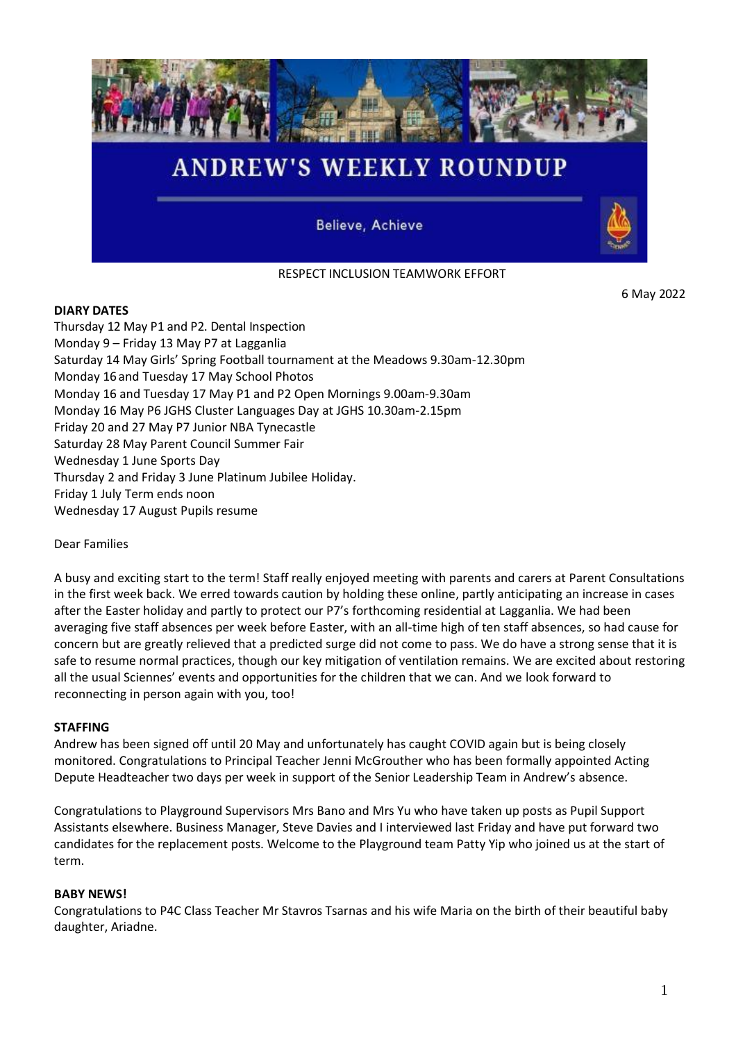

RESPECT INCLUSION TEAMWORK EFFORT

6 May 2022

# **DIARY DATES**

Thursday 12 May P1 and P2. Dental Inspection Monday 9 – Friday 13 May P7 at Lagganlia Saturday 14 May Girls' Spring Football tournament at the Meadows 9.30am-12.30pm Monday 16 and Tuesday 17 May School Photos Monday 16 and Tuesday 17 May P1 and P2 Open Mornings 9.00am-9.30am Monday 16 May P6 JGHS Cluster Languages Day at JGHS 10.30am-2.15pm Friday 20 and 27 May P7 Junior NBA Tynecastle Saturday 28 May Parent Council Summer Fair Wednesday 1 June Sports Day Thursday 2 and Friday 3 June Platinum Jubilee Holiday. Friday 1 July Term ends noon Wednesday 17 August Pupils resume

## Dear Families

A busy and exciting start to the term! Staff really enjoyed meeting with parents and carers at Parent Consultations in the first week back. We erred towards caution by holding these online, partly anticipating an increase in cases after the Easter holiday and partly to protect our P7's forthcoming residential at Lagganlia. We had been averaging five staff absences per week before Easter, with an all-time high of ten staff absences, so had cause for concern but are greatly relieved that a predicted surge did not come to pass. We do have a strong sense that it is safe to resume normal practices, though our key mitigation of ventilation remains. We are excited about restoring all the usual Sciennes' events and opportunities for the children that we can. And we look forward to reconnecting in person again with you, too!

#### **STAFFING**

Andrew has been signed off until 20 May and unfortunately has caught COVID again but is being closely monitored. Congratulations to Principal Teacher Jenni McGrouther who has been formally appointed Acting Depute Headteacher two days per week in support of the Senior Leadership Team in Andrew's absence.

Congratulations to Playground Supervisors Mrs Bano and Mrs Yu who have taken up posts as Pupil Support Assistants elsewhere. Business Manager, Steve Davies and I interviewed last Friday and have put forward two candidates for the replacement posts. Welcome to the Playground team Patty Yip who joined us at the start of term.

#### **BABY NEWS!**

Congratulations to P4C Class Teacher Mr Stavros Tsarnas and his wife Maria on the birth of their beautiful baby daughter, Ariadne.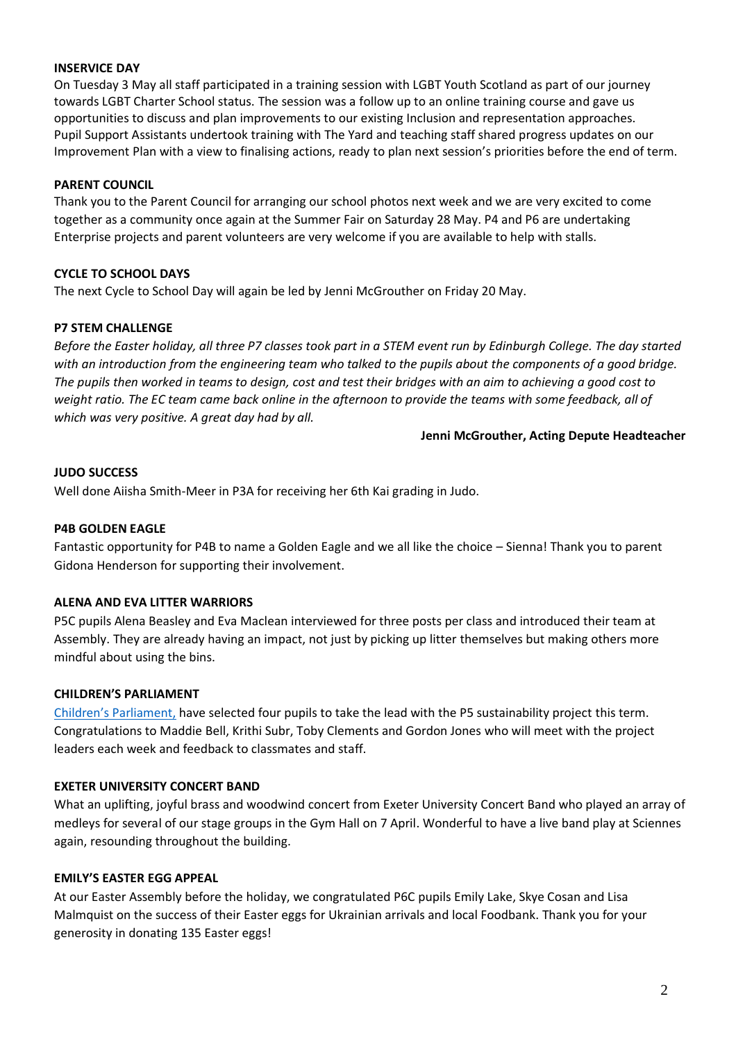#### **INSERVICE DAY**

On Tuesday 3 May all staff participated in a training session with LGBT Youth Scotland as part of our journey towards LGBT Charter School status. The session was a follow up to an online training course and gave us opportunities to discuss and plan improvements to our existing Inclusion and representation approaches. Pupil Support Assistants undertook training with The Yard and teaching staff shared progress updates on our Improvement Plan with a view to finalising actions, ready to plan next session's priorities before the end of term.

## **PARENT COUNCIL**

Thank you to the Parent Council for arranging our school photos next week and we are very excited to come together as a community once again at the Summer Fair on Saturday 28 May. P4 and P6 are undertaking Enterprise projects and parent volunteers are very welcome if you are available to help with stalls.

## **CYCLE TO SCHOOL DAYS**

The next Cycle to School Day will again be led by Jenni McGrouther on Friday 20 May.

## **P7 STEM CHALLENGE**

*Before the Easter holiday, all three P7 classes took part in a STEM event run by Edinburgh College. The day started*  with an introduction from the engineering team who talked to the pupils about the components of a good bridge. *The pupils then worked in teams to design, cost and test their bridges with an aim to achieving a good cost to weight ratio. The EC team came back online in the afternoon to provide the teams with some feedback, all of which was very positive. A great day had by all.*

#### **Jenni McGrouther, Acting Depute Headteacher**

#### **JUDO SUCCESS**

Well done Aiisha Smith-Meer in P3A for receiving her 6th Kai grading in Judo.

#### **P4B GOLDEN EAGLE**

Fantastic opportunity for P4B to name a Golden Eagle and we all like the choice – Sienna! Thank you to parent Gidona Henderson for supporting their involvement.

#### **ALENA AND EVA LITTER WARRIORS**

P5C pupils Alena Beasley and Eva Maclean interviewed for three posts per class and introduced their team at Assembly. They are already having an impact, not just by picking up litter themselves but making others more mindful about using the bins.

#### **CHILDREN'S PARLIAMENT**

[Children's Parliament,](https://www.childrensparliament.org.uk/) have selected four pupils to take the lead with the P5 sustainability project this term. Congratulations to Maddie Bell, Krithi Subr, Toby Clements and Gordon Jones who will meet with the project leaders each week and feedback to classmates and staff.

#### **EXETER UNIVERSITY CONCERT BAND**

What an uplifting, joyful brass and woodwind concert from Exeter University Concert Band who played an array of medleys for several of our stage groups in the Gym Hall on 7 April. Wonderful to have a live band play at Sciennes again, resounding throughout the building.

#### **EMILY'S EASTER EGG APPEAL**

At our Easter Assembly before the holiday, we congratulated P6C pupils Emily Lake, Skye Cosan and Lisa Malmquist on the success of their Easter eggs for Ukrainian arrivals and local Foodbank. Thank you for your generosity in donating 135 Easter eggs!